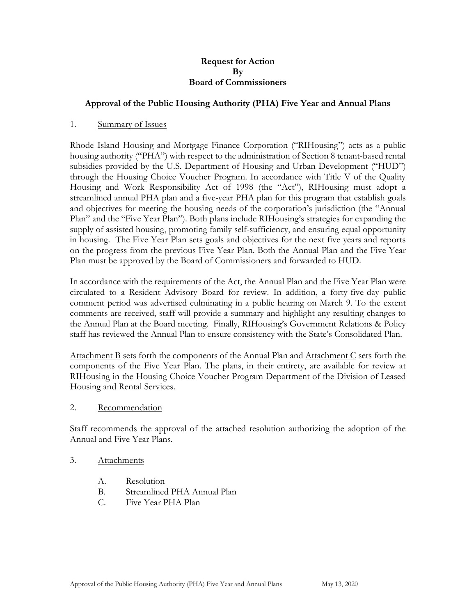### **Request for Action By Board of Commissioners**

## **Approval of the Public Housing Authority (PHA) Five Year and Annual Plans**

### 1. Summary of Issues

Rhode Island Housing and Mortgage Finance Corporation ("RIHousing") acts as a public housing authority ("PHA") with respect to the administration of Section 8 tenant-based rental subsidies provided by the U.S. Department of Housing and Urban Development ("HUD") through the Housing Choice Voucher Program. In accordance with Title V of the Quality Housing and Work Responsibility Act of 1998 (the "Act"), RIHousing must adopt a streamlined annual PHA plan and a five-year PHA plan for this program that establish goals and objectives for meeting the housing needs of the corporation's jurisdiction (the "Annual Plan" and the "Five Year Plan"). Both plans include RIHousing's strategies for expanding the supply of assisted housing, promoting family self-sufficiency, and ensuring equal opportunity in housing. The Five Year Plan sets goals and objectives for the next five years and reports on the progress from the previous Five Year Plan. Both the Annual Plan and the Five Year Plan must be approved by the Board of Commissioners and forwarded to HUD.

In accordance with the requirements of the Act, the Annual Plan and the Five Year Plan were circulated to a Resident Advisory Board for review. In addition, a forty-five-day public comment period was advertised culminating in a public hearing on March 9. To the extent comments are received, staff will provide a summary and highlight any resulting changes to the Annual Plan at the Board meeting. Finally, RIHousing's Government Relations & Policy staff has reviewed the Annual Plan to ensure consistency with the State's Consolidated Plan.

Attachment B sets forth the components of the Annual Plan and Attachment C sets forth the components of the Five Year Plan. The plans, in their entirety, are available for review at RIHousing in the Housing Choice Voucher Program Department of the Division of Leased Housing and Rental Services.

### 2. Recommendation

Staff recommends the approval of the attached resolution authorizing the adoption of the Annual and Five Year Plans.

### 3. Attachments

- A. Resolution
- B. Streamlined PHA Annual Plan
- C. Five Year PHA Plan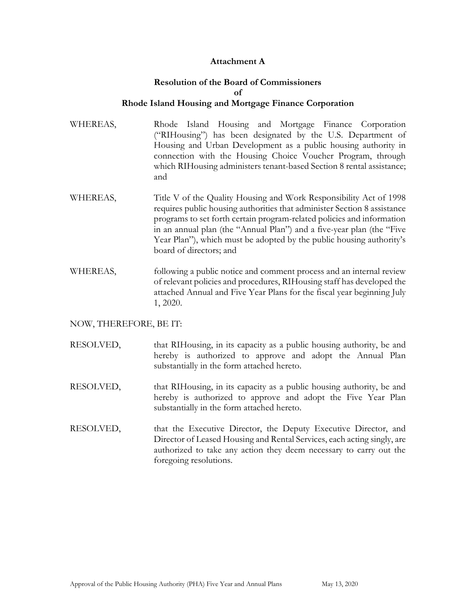## **Attachment A**

## **Resolution of the Board of Commissioners of Rhode Island Housing and Mortgage Finance Corporation**

- WHEREAS, Rhode Island Housing and Mortgage Finance Corporation ("RIHousing") has been designated by the U.S. Department of Housing and Urban Development as a public housing authority in connection with the Housing Choice Voucher Program, through which RIHousing administers tenant-based Section 8 rental assistance; and
- WHEREAS, Title V of the Quality Housing and Work Responsibility Act of 1998 requires public housing authorities that administer Section 8 assistance programs to set forth certain program-related policies and information in an annual plan (the "Annual Plan") and a five-year plan (the "Five Year Plan"), which must be adopted by the public housing authority's board of directors; and
- WHEREAS, following a public notice and comment process and an internal review of relevant policies and procedures, RIHousing staff has developed the attached Annual and Five Year Plans for the fiscal year beginning July 1, 2020.

### NOW, THEREFORE, BE IT:

- RESOLVED, that RIHousing, in its capacity as a public housing authority, be and hereby is authorized to approve and adopt the Annual Plan substantially in the form attached hereto.
- RESOLVED, that RIHousing, in its capacity as a public housing authority, be and hereby is authorized to approve and adopt the Five Year Plan substantially in the form attached hereto.
- RESOLVED, that the Executive Director, the Deputy Executive Director, and Director of Leased Housing and Rental Services, each acting singly, are authorized to take any action they deem necessary to carry out the foregoing resolutions.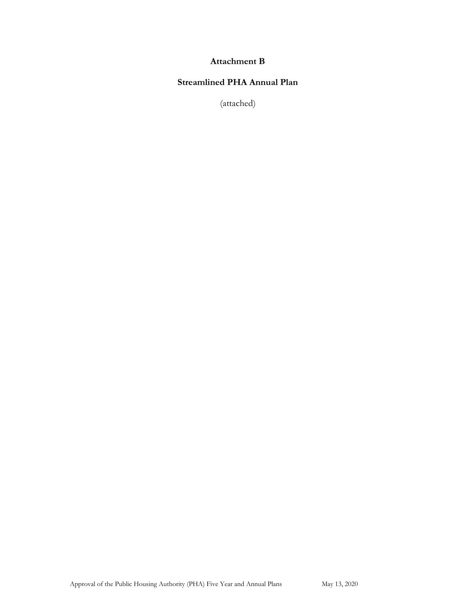## **Attachment B**

# **Streamlined PHA Annual Plan**

(attached)